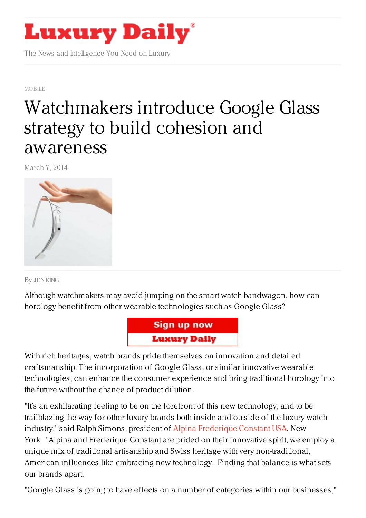

The News and Intelligence You Need on Luxury

[MOBILE](https://www.luxurydaily.com/category/news/mobile-news/)

## [Watchmakers](https://www.luxurydaily.com/watchmakers-introduce-google-glass-to-build-cohesion-and-awareness/) introduce Google Glass strategy to build cohesion and awareness

March 7, 2014



By JEN [KING](/author/jen-king)

Although watchmakers may avoid jumping on the smart watch bandwagon, how can horology benefit from other wearable technologies such as Google Glass?



With rich heritages, watch brands pride themselves on innovation and detailed craftsmanship. The incorporation of Google Glass, or similar innovative wearable technologies, can enhance the consumer experience and bring traditional horology into the future without the chance of product dilution.

"It's an exhilarating feeling to be on the forefront of this new technology, and to be trailblazing the way for other luxury brands both inside and outside of the luxury watch industry," said Ralph Simons, president of Alpina [Frederique](http://www.frederique-constant.com/) Constant USA, New York. "Alpina and Frederique Constant are prided on their innovative spirit, we employ a unique mix of traditional artisanship and Swiss heritage with very non-traditional, American influences like embracing new technology. Finding that balance is what sets our brands apart.

"Google Glass is going to have effects on a number of categories within our businesses,"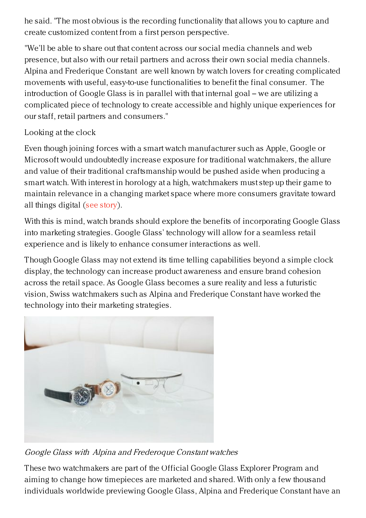he said. "The most obvious is the recording functionality that allows you to capture and create customized content from a first person perspective.

"We'll be able to share out that content across our social media channels and web presence, but also with our retail partners and across their own social media channels. Alpina and Frederique Constant are well known by watch lovers for creating complicated movements with useful, easy-to-use functionalities to benefit the final consumer. The introduction of Google Glass is in parallel with that internal goal – we are utilizing a complicated piece of technology to create accessible and highly unique experiences for our staff, retail partners and consumers."

## Looking at the clock

Even though joining forces with a smart watch manufacturer such as Apple, Google or Microsoft would undoubtedly increase exposure for traditional watchmakers, the allure and value of their traditional craftsmanship would be pushed aside when producing a smart watch. With interest in horology at a high, watchmakers must step up their game to maintain relevance in a changing market space where more consumers gravitate toward all things digital (see [story](https://www.luxurydaily.com/influx-of-smart-watches-unlikely-to-halt-traditional-horology/)).

With this is mind, watch brands should explore the benefits of incorporating Google Glass into marketing strategies. Google Glass' technology will allow for a seamless retail experience and is likely to enhance consumer interactions as well.

Though Google Glass may not extend its time telling capabilities beyond a simple clock display, the technology can increase product awareness and ensure brand cohesion across the retail space. As Google Glass becomes a sure reality and less a futuristic vision, Swiss watchmakers such as Alpina and Frederique Constant have worked the technology into their marketing strategies.



Google Glass with Alpina and Frederoque Constant watches

These two watchmakers are part of the Official Google Glass Explorer Program and aiming to change how timepieces are marketed and shared. With only a few thousand individuals worldwide previewing Google Glass, Alpina and Frederique Constant have an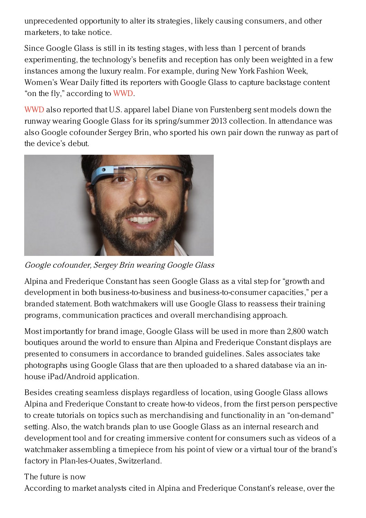unprecedented opportunity to alter its strategies, likely causing consumers, and other marketers, to take notice.

Since Google Glass is still in its testing stages, with less than 1 percent of brands experimenting, the technology's benefits and reception has only been weighted in a few instances among the luxury realm. For example, during New York Fashion Week, Women's Wear Daily fitted its reporters with Google Glass to capture backstage content "on the fly," according to [WWD](http://www.wwd.com/beauty-industry-news/beauty-features/wwd-beauty-team-taking-on-nyfw-with-google-glass-7417192).

[WWD](http://www.wwd.com/media-news/digital/google-dvf-to-team-up-during-nyfw-6248673) also reported that U.S. apparel label Diane von Furstenberg sent models down the runway wearing Google Glass for its spring/summer 2013 collection. In attendance was also Google cofounder Sergey Brin, who sported his own pair down the runway as part of the device's debut.



Google cofounder, Sergey Brin wearing Google Glass

Alpina and Frederique Constant has seen Google Glass as a vital step for "growth and development in both business-to-business and business-to-consumer capacities," per a branded statement. Both watchmakers will use Google Glass to reassess their training programs, communication practices and overall merchandising approach.

Most importantly for brand image, Google Glass will be used in more than 2,800 watch boutiques around the world to ensure than Alpina and Frederique Constant displays are presented to consumers in accordance to branded guidelines. Sales associates take photographs using Google Glass that are then uploaded to a shared database via an inhouse iPad/Android application.

Besides creating seamless displays regardless of location, using Google Glass allows Alpina and Frederique Constant to create how-to videos, from the first person perspective to create tutorials on topics such as merchandising and functionality in an "on-demand" setting. Also, the watch brands plan to use Google Glass as an internal research and development tool and for creating immersive content for consumers such as videos of a watchmaker assembling a timepiece from his point of view or a virtual tour of the brand's factory in Plan-les-Ouates, Switzerland.

The future is now

According to market analysts cited in Alpina and Frederique Constant's release, over the